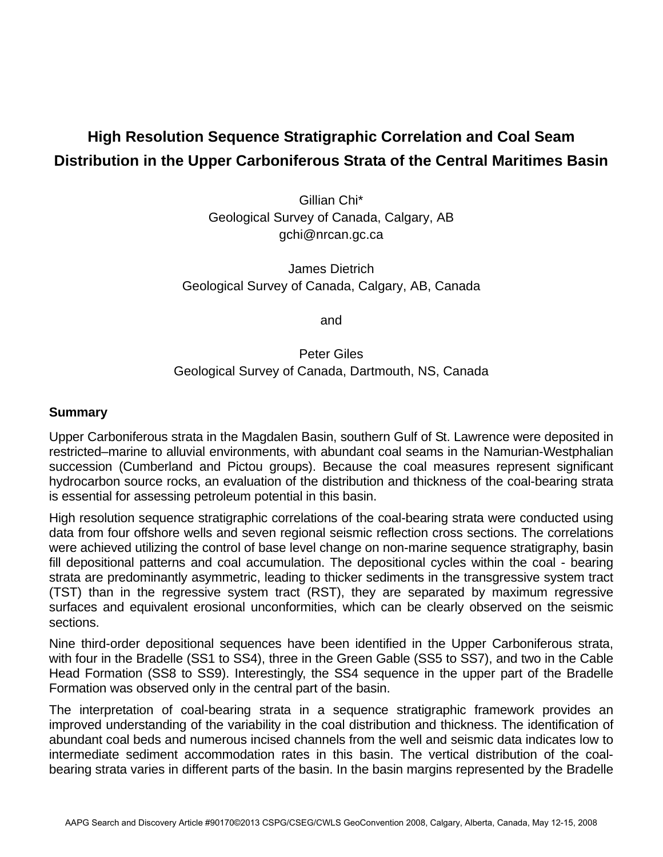# **High Resolution Sequence Stratigraphic Correlation and Coal Seam Distribution in the Upper Carboniferous Strata of the Central Maritimes Basin**

Gillian Chi\* Geological Survey of Canada, Calgary, AB gchi@nrcan.gc.ca

James Dietrich Geological Survey of Canada, Calgary, AB, Canada

and

## Peter Giles Geological Survey of Canada, Dartmouth, NS, Canada

## **Summary**

Upper Carboniferous strata in the Magdalen Basin, southern Gulf of St. Lawrence were deposited in restricted–marine to alluvial environments, with abundant coal seams in the Namurian-Westphalian succession (Cumberland and Pictou groups). Because the coal measures represent significant hydrocarbon source rocks, an evaluation of the distribution and thickness of the coal-bearing strata is essential for assessing petroleum potential in this basin.

High resolution sequence stratigraphic correlations of the coal-bearing strata were conducted using data from four offshore wells and seven regional seismic reflection cross sections. The correlations were achieved utilizing the control of base level change on non-marine sequence stratigraphy, basin fill depositional patterns and coal accumulation. The depositional cycles within the coal - bearing strata are predominantly asymmetric, leading to thicker sediments in the transgressive system tract (TST) than in the regressive system tract (RST), they are separated by maximum regressive surfaces and equivalent erosional unconformities, which can be clearly observed on the seismic sections.

Nine third-order depositional sequences have been identified in the Upper Carboniferous strata, with four in the Bradelle (SS1 to SS4), three in the Green Gable (SS5 to SS7), and two in the Cable Head Formation (SS8 to SS9). Interestingly, the SS4 sequence in the upper part of the Bradelle Formation was observed only in the central part of the basin.

The interpretation of coal-bearing strata in a sequence stratigraphic framework provides an improved understanding of the variability in the coal distribution and thickness. The identification of abundant coal beds and numerous incised channels from the well and seismic data indicates low to intermediate sediment accommodation rates in this basin. The vertical distribution of the coalbearing strata varies in different parts of the basin. In the basin margins represented by the Bradelle